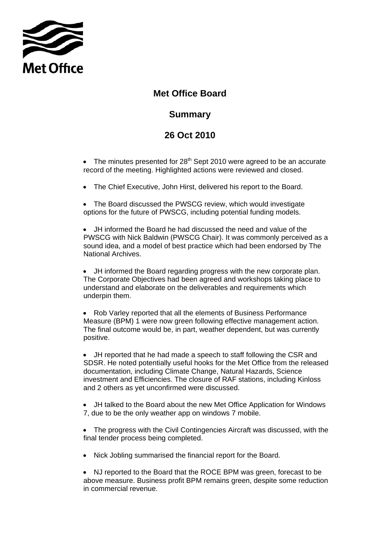

## **Met Office Board**

## **Summary**

## **Summary 26 Oct 2010**

• The minutes presented for  $28<sup>th</sup>$  Sept 2010 were agreed to be an accurate record of the meeting. Highlighted actions were reviewed and closed.

• The Chief Executive, John Hirst, delivered his report to the Board.

• The Board discussed the PWSCG review, which would investigate options for the future of PWSCG, including potential funding models.

• JH informed the Board he had discussed the need and value of the PWSCG with Nick Baldwin (PWSCG Chair). It was commonly perceived as a sound idea, and a model of best practice which had been endorsed by The National Archives.

• JH informed the Board regarding progress with the new corporate plan. The Corporate Objectives had been agreed and workshops taking place to understand and elaborate on the deliverables and requirements which underpin them.

• Rob Varley reported that all the elements of Business Performance Measure (BPM) 1 were now green following effective management action. The final outcome would be, in part, weather dependent, but was currently positive.

 and 2 others as yet unconfirmed were discussed. • JH reported that he had made a speech to staff following the CSR and SDSR. He noted potentially useful hooks for the Met Office from the released documentation, including Climate Change, Natural Hazards, Science investment and Efficiencies. The closure of RAF stations, including Kinloss

• JH talked to the Board about the new Met Office Application for Windows 7, due to be the only weather app on windows 7 mobile.

• The progress with the Civil Contingencies Aircraft was discussed, with the final tender process being completed.

• Nick Jobling summarised the financial report for the Board.

• NJ reported to the Board that the ROCE BPM was green, forecast to be above measure. Business profit BPM remains green, despite some reduction in commercial revenue.